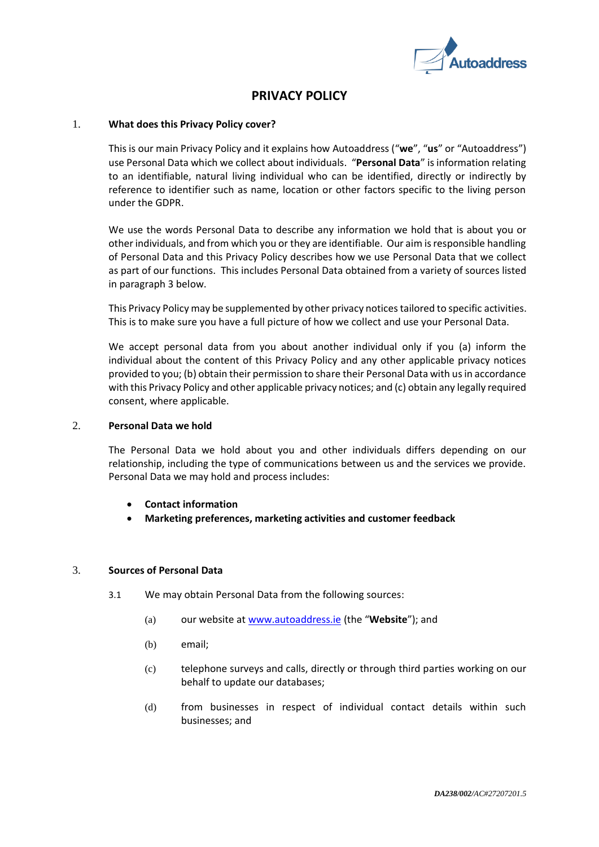

# **PRIVACY POLICY**

## 1. **What does this Privacy Policy cover?**

This is our main Privacy Policy and it explains how Autoaddress ("**we**", "**us**" or "Autoaddress") use Personal Data which we collect about individuals. "**Personal Data**" is information relating to an identifiable, natural living individual who can be identified, directly or indirectly by reference to identifier such as name, location or other factors specific to the living person under the GDPR.

We use the words Personal Data to describe any information we hold that is about you or otherindividuals, and from which you or they are identifiable. Our aim is responsible handling of Personal Data and this Privacy Policy describes how we use Personal Data that we collect as part of our functions. This includes Personal Data obtained from a variety of sources listed in paragraph 3 below.

This Privacy Policy may be supplemented by other privacy notices tailored to specific activities. This is to make sure you have a full picture of how we collect and use your Personal Data.

We accept personal data from you about another individual only if you (a) inform the individual about the content of this Privacy Policy and any other applicable privacy notices provided to you; (b) obtain their permission to share their Personal Data with us in accordance with this Privacy Policy and other applicable privacy notices; and (c) obtain any legally required consent, where applicable.

## 2. **Personal Data we hold**

The Personal Data we hold about you and other individuals differs depending on our relationship, including the type of communications between us and the services we provide. Personal Data we may hold and process includes:

- **Contact information**
- **Marketing preferences, marketing activities and customer feedback**

## 3. **Sources of Personal Data**

- 3.1 We may obtain Personal Data from the following sources:
	- (a) our website at [www.autoaddress.ie](http://www.autoaddress.ie/) (the "**Website**"); and
	- (b) email;
	- (c) telephone surveys and calls, directly or through third parties working on our behalf to update our databases;
	- (d) from businesses in respect of individual contact details within such businesses; and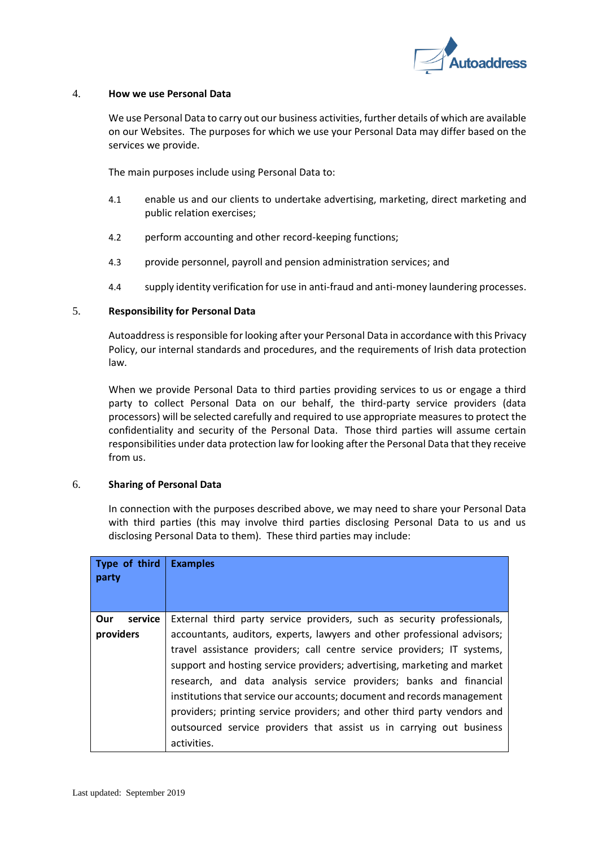

## 4. **How we use Personal Data**

We use Personal Data to carry out our business activities, further details of which are available on our Websites. The purposes for which we use your Personal Data may differ based on the services we provide.

The main purposes include using Personal Data to:

- 4.1 enable us and our clients to undertake advertising, marketing, direct marketing and public relation exercises;
- 4.2 perform accounting and other record-keeping functions;
- 4.3 provide personnel, payroll and pension administration services; and
- 4.4 supply identity verification for use in anti-fraud and anti-money laundering processes.

## 5. **Responsibility for Personal Data**

Autoaddress is responsible for looking after your Personal Data in accordance with this Privacy Policy, our internal standards and procedures, and the requirements of Irish data protection law.

When we provide Personal Data to third parties providing services to us or engage a third party to collect Personal Data on our behalf, the third-party service providers (data processors) will be selected carefully and required to use appropriate measures to protect the confidentiality and security of the Personal Data. Those third parties will assume certain responsibilities under data protection law for looking after the Personal Data that they receive from us.

## 6. **Sharing of Personal Data**

In connection with the purposes described above, we may need to share your Personal Data with third parties (this may involve third parties disclosing Personal Data to us and us disclosing Personal Data to them). These third parties may include:

| Type of third<br>party | <b>Examples</b>                                                                                                                                                                                                                                                                                                                                                                                                                                                                                                                                     |
|------------------------|-----------------------------------------------------------------------------------------------------------------------------------------------------------------------------------------------------------------------------------------------------------------------------------------------------------------------------------------------------------------------------------------------------------------------------------------------------------------------------------------------------------------------------------------------------|
| Our<br>service         | External third party service providers, such as security professionals,                                                                                                                                                                                                                                                                                                                                                                                                                                                                             |
| providers              | accountants, auditors, experts, lawyers and other professional advisors;<br>travel assistance providers; call centre service providers; IT systems,<br>support and hosting service providers; advertising, marketing and market<br>research, and data analysis service providers; banks and financial<br>institutions that service our accounts; document and records management<br>providers; printing service providers; and other third party vendors and<br>outsourced service providers that assist us in carrying out business<br>activities. |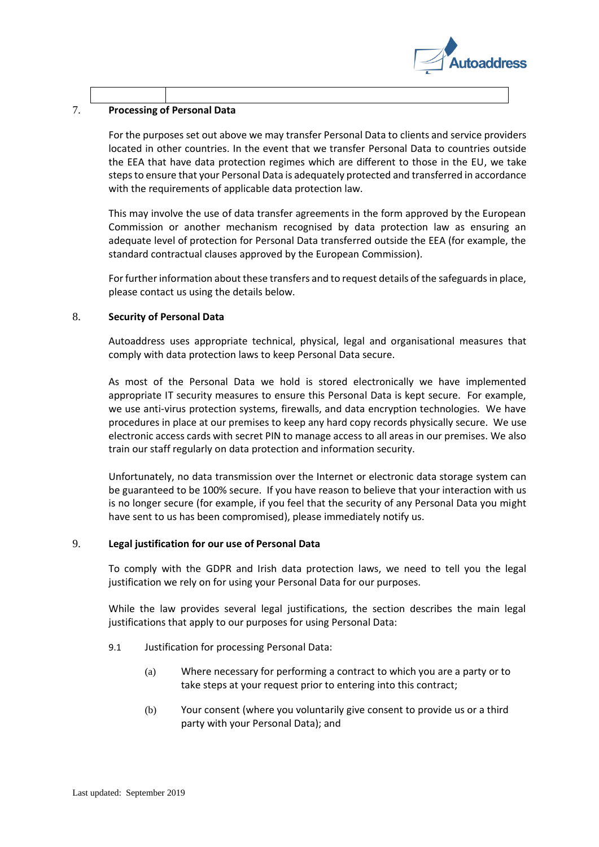

## 7. **Processing of Personal Data**

For the purposes set out above we may transfer Personal Data to clients and service providers located in other countries. In the event that we transfer Personal Data to countries outside the EEA that have data protection regimes which are different to those in the EU, we take steps to ensure that your Personal Data is adequately protected and transferred in accordance with the requirements of applicable data protection law.

This may involve the use of data transfer agreements in the form approved by the European Commission or another mechanism recognised by data protection law as ensuring an adequate level of protection for Personal Data transferred outside the EEA (for example, the standard contractual clauses approved by the European Commission).

For further information about these transfers and to request details of the safeguards in place, please contact us using the details below.

## 8. **Security of Personal Data**

Autoaddress uses appropriate technical, physical, legal and organisational measures that comply with data protection laws to keep Personal Data secure.

As most of the Personal Data we hold is stored electronically we have implemented appropriate IT security measures to ensure this Personal Data is kept secure. For example, we use anti-virus protection systems, firewalls, and data encryption technologies. We have procedures in place at our premises to keep any hard copy records physically secure. We use electronic access cards with secret PIN to manage access to all areas in our premises. We also train our staff regularly on data protection and information security.

Unfortunately, no data transmission over the Internet or electronic data storage system can be guaranteed to be 100% secure. If you have reason to believe that your interaction with us is no longer secure (for example, if you feel that the security of any Personal Data you might have sent to us has been compromised), please immediately notify us.

## 9. **Legal justification for our use of Personal Data**

To comply with the GDPR and Irish data protection laws, we need to tell you the legal justification we rely on for using your Personal Data for our purposes.

While the law provides several legal justifications, the section describes the main legal justifications that apply to our purposes for using Personal Data:

- 9.1 Justification for processing Personal Data:
	- (a) Where necessary for performing a contract to which you are a party or to take steps at your request prior to entering into this contract;
	- (b) Your consent (where you voluntarily give consent to provide us or a third party with your Personal Data); and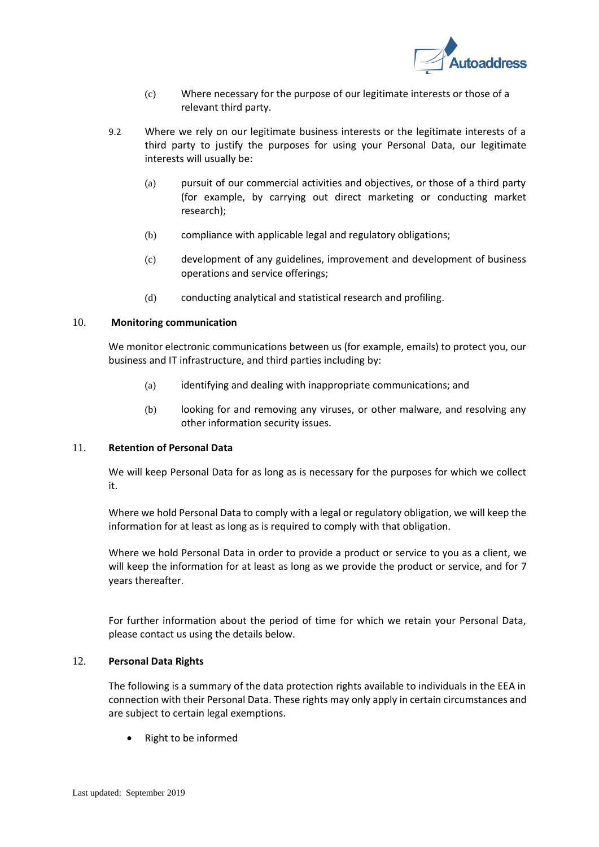

- (c) Where necessary for the purpose of our legitimate interests or those of a relevant third party.
- 9.2 Where we rely on our legitimate business interests or the legitimate interests of a third party to justify the purposes for using your Personal Data, our legitimate interests will usually be:
	- (a) pursuit of our commercial activities and objectives, or those of a third party (for example, by carrying out direct marketing or conducting market research);
	- (b) compliance with applicable legal and regulatory obligations;
	- (c) development of any guidelines, improvement and development of business operations and service offerings;
	- (d) conducting analytical and statistical research and profiling.

## 10. **Monitoring communication**

We monitor electronic communications between us (for example, emails) to protect you, our business and IT infrastructure, and third parties including by:

- (a) identifying and dealing with inappropriate communications; and
- (b) looking for and removing any viruses, or other malware, and resolving any other information security issues.

## 11. **Retention of Personal Data**

We will keep Personal Data for as long as is necessary for the purposes for which we collect it.

Where we hold Personal Data to comply with a legal or regulatory obligation, we will keep the information for at least as long as is required to comply with that obligation.

Where we hold Personal Data in order to provide a product or service to you as a client, we will keep the information for at least as long as we provide the product or service, and for 7 years thereafter.

For further information about the period of time for which we retain your Personal Data, please contact us using the details below.

#### 12. **Personal Data Rights**

The following is a summary of the data protection rights available to individuals in the EEA in connection with their Personal Data. These rights may only apply in certain circumstances and are subject to certain legal exemptions.

• Right to be informed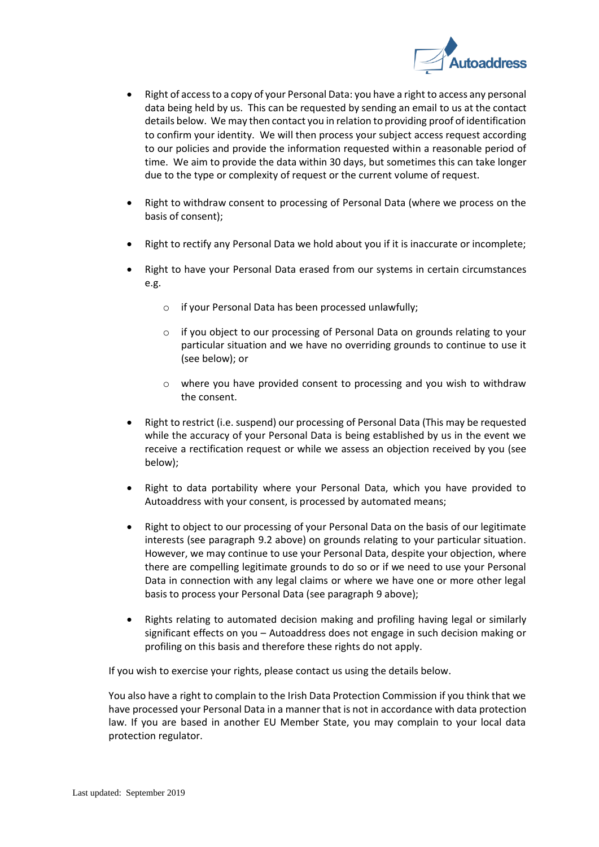

- Right of access to a copy of your Personal Data: you have a right to access any personal data being held by us. This can be requested by sending an email to us at the contact details below. We may then contact you in relation to providing proof of identification to confirm your identity. We will then process your subject access request according to our policies and provide the information requested within a reasonable period of time. We aim to provide the data within 30 days, but sometimes this can take longer due to the type or complexity of request or the current volume of request.
- Right to withdraw consent to processing of Personal Data (where we process on the basis of consent);
- Right to rectify any Personal Data we hold about you if it is inaccurate or incomplete;
- Right to have your Personal Data erased from our systems in certain circumstances e.g.
	- o if your Personal Data has been processed unlawfully;
	- o if you object to our processing of Personal Data on grounds relating to your particular situation and we have no overriding grounds to continue to use it (see below); or
	- $\circ$  where you have provided consent to processing and you wish to withdraw the consent.
- Right to restrict (i.e. suspend) our processing of Personal Data (This may be requested while the accuracy of your Personal Data is being established by us in the event we receive a rectification request or while we assess an objection received by you (see below);
- Right to data portability where your Personal Data, which you have provided to Autoaddress with your consent, is processed by automated means;
- Right to object to our processing of your Personal Data on the basis of our legitimate interests (see paragraph 9.2 above) on grounds relating to your particular situation. However, we may continue to use your Personal Data, despite your objection, where there are compelling legitimate grounds to do so or if we need to use your Personal Data in connection with any legal claims or where we have one or more other legal basis to process your Personal Data (see paragraph 9 above);
- Rights relating to automated decision making and profiling having legal or similarly significant effects on you – Autoaddress does not engage in such decision making or profiling on this basis and therefore these rights do not apply.

If you wish to exercise your rights, please contact us using the details below.

You also have a right to complain to the Irish Data Protection Commission if you think that we have processed your Personal Data in a manner that is not in accordance with data protection law. If you are based in another EU Member State, you may complain to your local data protection regulator.